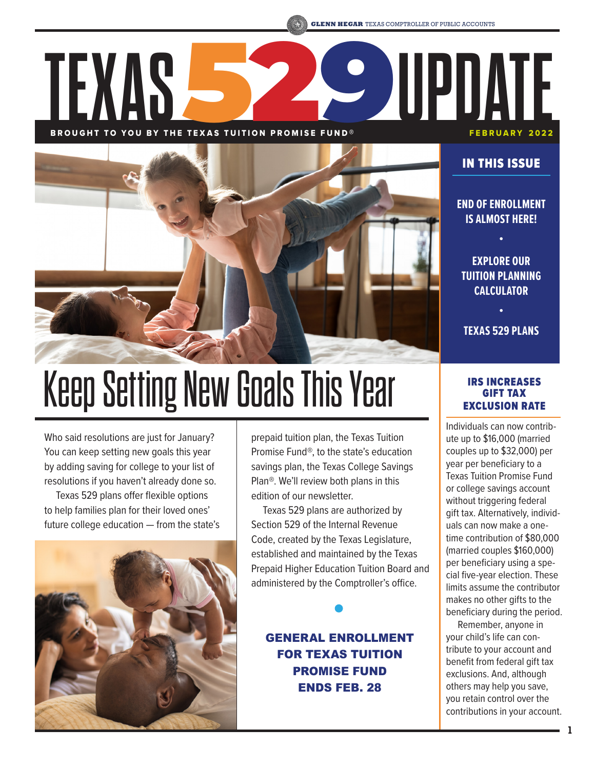# BROUGHT TO YOU BY THE TEXAS TUITION PROMISE FUND® FEBRUARY 2022 **TEXAS**529**UPDATE**



# Keep Setting New Goals This Year

Who said resolutions are just for January? You can keep setting new goals this year by adding saving for college to your list of resolutions if you haven't already done so.

Texas 529 plans offer flexible options to help families plan for their loved ones' future college education — from the state's



prepaid tuition plan, the Texas Tuition Promise Fund®, to the state's education savings plan, the Texas College Savings Plan®. We'll review both plans in this edition of our newsletter.

Texas 529 plans are authorized by Section 529 of the Internal Revenue Code, created by the Texas Legislature, established and maintained by the Texas Prepaid Higher Education Tuition Board and administered by the Comptroller's office.

GENERAL ENROLLMENT FOR TEXAS TUITION PROMISE FUND ENDS FEB. 28

# IN THIS ISSUE

**END OF ENROLLMENT IS ALMOST HERE!**

**•**

**EXPLORE OUR TUITION PLANNING CALCULATOR**

**• TEXAS 529 PLANS**

# IRS INCREASES GIFT TAX EXCLUSION RATE

Individuals can now contribute up to \$16,000 (married couples up to \$32,000) per year per beneficiary to a Texas Tuition Promise Fund or college savings account without triggering federal gift tax. Alternatively, individuals can now make a onetime contribution of \$80,000 (married couples \$160,000) per beneficiary using a special five-year election. These limits assume the contributor makes no other gifts to the beneficiary during the period.

Remember, anyone in your child's life can contribute to your account and benefit from federal gift tax exclusions. And, although others may help you save, you retain control over the contributions in your account.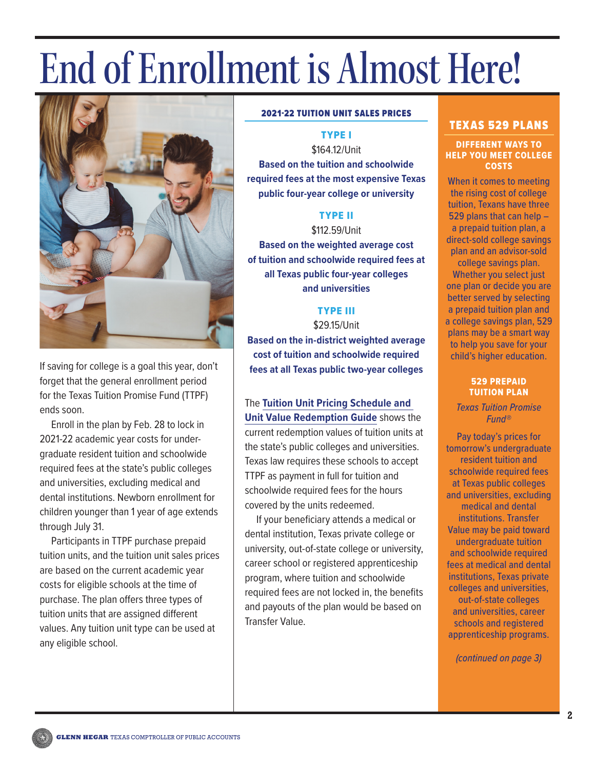# End of Enrollment is Almost Here!



If saving for college is a goal this year, don't forget that the general enrollment period for the Texas Tuition Promise Fund (TTPF) ends soon.

Enroll in the plan by Feb. 28 to lock in 2021-22 academic year costs for undergraduate resident tuition and schoolwide required fees at the state's public colleges and universities, excluding medical and dental institutions. Newborn enrollment for children younger than 1 year of age extends through July 31.

Participants in TTPF purchase prepaid tuition units, and the tuition unit sales prices are based on the current academic year costs for eligible schools at the time of purchase. The plan offers three types of tuition units that are assigned different values. Any tuition unit type can be used at any eligible school.

#### 2021-22 TUITION UNIT SALES PRICES

TYPE I

\$164.12/Unit **Based on the tuition and schoolwide required fees at the most expensive Texas public four-year college or university** 

# TYPE II

\$112.59/Unit **Based on the weighted average cost of tuition and schoolwide required fees at all Texas public four-year colleges** 

**and universities**

# TYPE III

\$29.15/Unit

**Based on the in-district weighted average cost of tuition and schoolwide required fees at all Texas public two-year colleges**

The **[Tuition Unit Pricing Schedule and](https://geminifund.com/RegulatoryDocumentCenter/PublicDocuments/Current.aspx?FundFamily=Texas529Plan&DocType=TTPF-013&DisplayCommon=False&Fund=TTPF Literature)  [Unit Value Redemption Guide](https://geminifund.com/RegulatoryDocumentCenter/PublicDocuments/Current.aspx?FundFamily=Texas529Plan&DocType=TTPF-013&DisplayCommon=False&Fund=TTPF Literature)** shows the current redemption values of tuition units at the state's public colleges and universities. Texas law requires these schools to accept TTPF as payment in full for tuition and schoolwide required fees for the hours covered by the units redeemed.

If your beneficiary attends a medical or dental institution, Texas private college or university, out-of-state college or university, career school or registered apprenticeship program, where tuition and schoolwide required fees are not locked in, the benefits and payouts of the plan would be based on Transfer Value.

# TEXAS 529 PLANS

#### DIFFERENT WAYS TO HELP YOU MEET COLLEGE COSTS

When it comes to meeting the rising cost of college tuition, Texans have three 529 plans that can help – a prepaid tuition plan, a direct-sold college savings plan and an advisor-sold college savings plan.

Whether you select just one plan or decide you are better served by selecting a prepaid tuition plan and a college savings plan, 529 plans may be a smart way to help you save for your child's higher education.

#### 529 PREPAID TUITION PLAN

*Texas Tuition Promise Fund®* 

Pay today's prices for tomorrow's undergraduate resident tuition and schoolwide required fees at Texas public colleges and universities, excluding medical and dental institutions. Transfer Value may be paid toward undergraduate tuition and schoolwide required fees at medical and dental institutions, Texas private colleges and universities, out-of-state colleges and universities, career schools and registered apprenticeship programs.

*(continued on page 3)*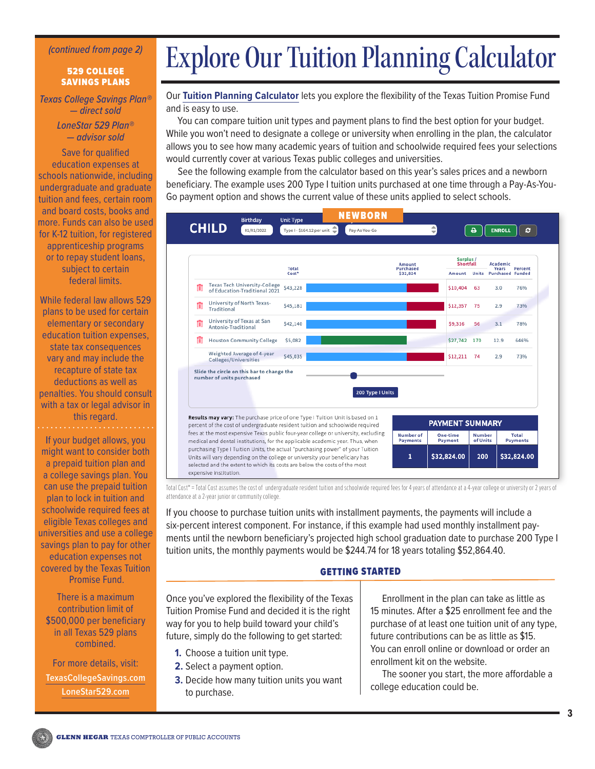#### *(continued from page 2)*

#### 529 COLLEGE SAVINGS PLANS

*Texas College Savings Plan® — direct sold LoneStar 529 Plan® — advisor sold*

Save for qualified education expenses at schools nationwide, including undergraduate and graduate tuition and fees, certain room and board costs, books and more. Funds can also be used for K-12 tuition, for registered apprenticeship programs or to repay student loans, subject to certain federal limits.

While federal law allows 529 plans to be used for certain elementary or secondary education tuition expenses, state tax consequences vary and may include the recapture of state tax deductions as well as penalties. You should consult with a tax or legal advisor in this regard.

If your budget allows, you might want to consider both a prepaid tuition plan and a college savings plan. You can use the prepaid tuition plan to lock in tuition and schoolwide required fees at eligible Texas colleges and universities and use a college savings plan to pay for other education expenses not covered by the Texas Tuition Promise Fund.

There is a maximum contribution limit of \$500,000 per beneficiary in all Texas 529 plans combined.

For more details, visit: **[TexasCollegeSavings.com](https://www.texascollegesavings.com/) [LoneStar529.com](https://www.lonestar529.com/)**

# Explore Our Tuition Planning Calculator

Our **[Tuition Planning Calculator](http://texastuitionpromisefund.com/calculator/)** lets you explore the flexibility of the Texas Tuition Promise Fund and is easy to use.

You can compare tuition unit types and payment plans to find the best option for your budget. While you won't need to designate a college or university when enrolling in the plan, the calculator allows you to see how many academic years of tuition and schoolwide required fees your selections would currently cover at various Texas public colleges and universities.

See the following example from the calculator based on this year's sales prices and a newborn beneficiary. The example uses 200 Type I tuition units purchased at one time through a Pay-As-You-Go payment option and shows the current value of these units applied to select schools.



Total Cost\* = Total Cost assumes the cost of undergraduate resident tuition and schoolwide required fees for 4 years of attendance at a 4-year college or university or 2 years of attendance at a 2-year junior or community college.

If you choose to purchase tuition units with installment payments, the payments will include a six-percent interest component. For instance, if this example had used monthly installment payments until the newborn beneficiary's projected high school graduation date to purchase 200 Type I tuition units, the monthly payments would be \$244.74 for 18 years totaling \$52,864.40.

#### GETTING STARTED

Once you've explored the flexibility of the Texas Tuition Promise Fund and decided it is the right way for you to help build toward your child's future, simply do the following to get started:

- **1.** Choose a tuition unit type.
- **2.** Select a payment option.
- **3.** Decide how many tuition units you want to purchase.

Enrollment in the plan can take as little as 15 minutes. After a \$25 enrollment fee and the purchase of at least one tuition unit of any type, future contributions can be as little as \$15. You can enroll online or download or order an enrollment kit on the website.

The sooner you start, the more affordable a college education could be.